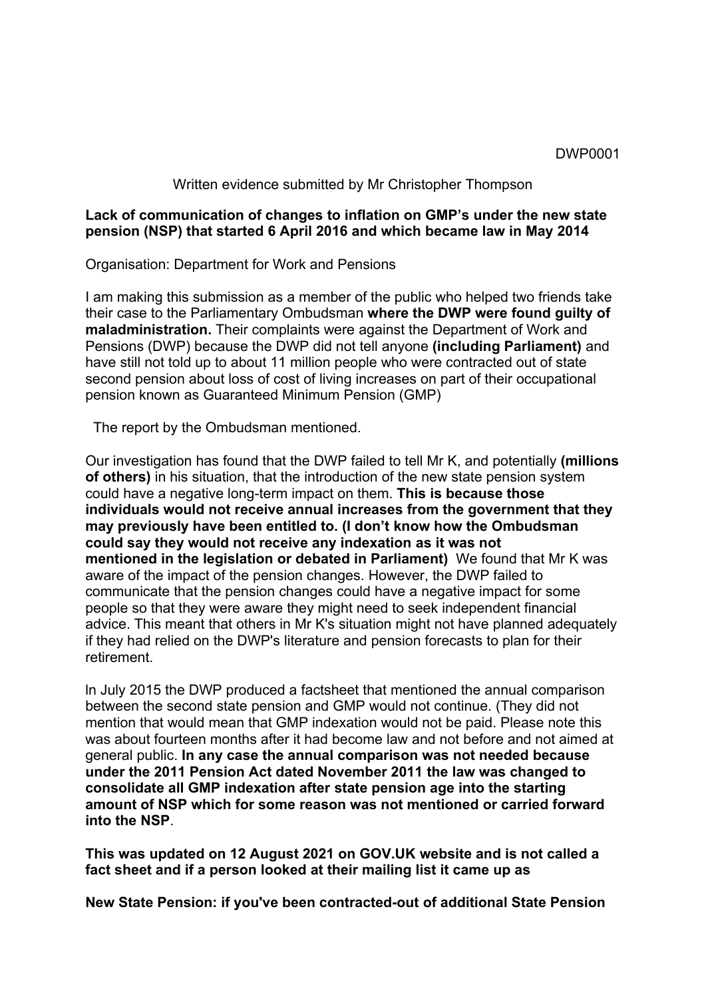### DWP0001

#### Written evidence submitted by Mr Christopher Thompson

## **Lack of communication of changes to inflation on GMP's under the new state pension (NSP) that started 6 April 2016 and which became law in May 2014**

Organisation: Department for Work and Pensions

I am making this submission as a member of the public who helped two friends take their case to the Parliamentary Ombudsman **where the DWP were found guilty of maladministration.** Their complaints were against the Department of Work and Pensions (DWP) because the DWP did not tell anyone **(including Parliament)** and have still not told up to about 11 million people who were contracted out of state second pension about loss of cost of living increases on part of their occupational pension known as Guaranteed Minimum Pension (GMP)

The report by the Ombudsman mentioned.

Our investigation has found that the DWP failed to tell Mr K, and potentially **(millions of others)** in his situation, that the introduction of the new state pension system could have a negative long-term impact on them. **This is because those individuals would not receive annual increases from the government that they may previously have been entitled to. (I don't know how the Ombudsman could say they would not receive any indexation as it was not mentioned in the legislation or debated in Parliament)** We found that Mr K was aware of the impact of the pension changes. However, the DWP failed to communicate that the pension changes could have a negative impact for some people so that they were aware they might need to seek independent financial advice. This meant that others in Mr K's situation might not have planned adequately if they had relied on the DWP's literature and pension forecasts to plan for their retirement.

ln July 2015 the DWP produced a factsheet that mentioned the annual comparison between the second state pension and GMP would not continue. (They did not mention that would mean that GMP indexation would not be paid. Please note this was about fourteen months after it had become law and not before and not aimed at general public. **In any case the annual comparison was not needed because under the 2011 Pension Act dated November 2011 the law was changed to consolidate all GMP indexation after state pension age into the starting amount of NSP which for some reason was not mentioned or carried forward into the NSP**.

**This was updated on 12 August 2021 on GOV.UK website and is not called a fact sheet and if a person looked at their mailing list it came up as**

**New State Pension: if you've been contracted-out of additional State Pension**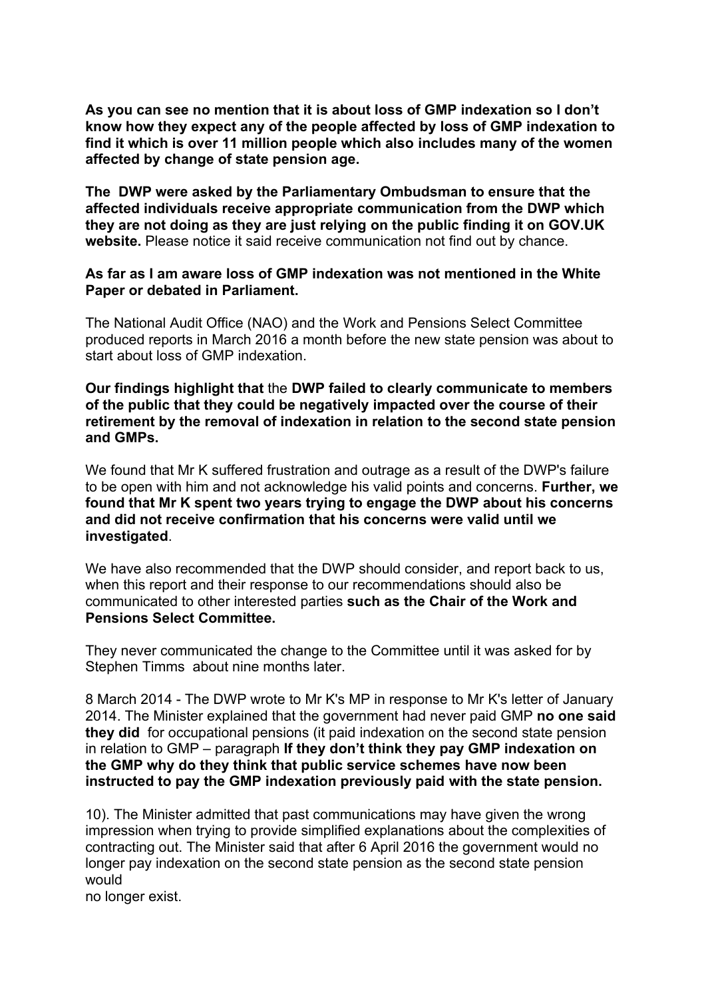**As you can see no mention that it is about loss of GMP indexation so I don't know how they expect any of the people affected by loss of GMP indexation to find it which is over 11 million people which also includes many of the women affected by change of state pension age.**

**The DWP were asked by the Parliamentary Ombudsman to ensure that the affected individuals receive appropriate communication from the DWP which they are not doing as they are just relying on the public finding it on GOV.UK website.** Please notice it said receive communication not find out by chance.

## **As far as I am aware loss of GMP indexation was not mentioned in the White Paper or debated in Parliament.**

The National Audit Office (NAO) and the Work and Pensions Select Committee produced reports in March 2016 a month before the new state pension was about to start about loss of GMP indexation.

**Our findings highlight that** the **DWP failed to clearly communicate to members of the public that they could be negatively impacted over the course of their retirement by the removal of indexation in relation to the second state pension and GMPs.**

We found that Mr K suffered frustration and outrage as a result of the DWP's failure to be open with him and not acknowledge his valid points and concerns. **Further, we found that Mr K spent two years trying to engage the DWP about his concerns and did not receive confirmation that his concerns were valid until we investigated**.

We have also recommended that the DWP should consider, and report back to us, when this report and their response to our recommendations should also be communicated to other interested parties **such as the Chair of the Work and Pensions Select Committee.**

They never communicated the change to the Committee until it was asked for by Stephen Timms about nine months later.

8 March 2014 - The DWP wrote to Mr K's MP in response to Mr K's letter of January 2014. The Minister explained that the government had never paid GMP **no one said they did** for occupational pensions (it paid indexation on the second state pension in relation to GMP – paragraph **If they don't think they pay GMP indexation on the GMP why do they think that public service schemes have now been instructed to pay the GMP indexation previously paid with the state pension.**

10). The Minister admitted that past communications may have given the wrong impression when trying to provide simplified explanations about the complexities of contracting out. The Minister said that after 6 April 2016 the government would no longer pay indexation on the second state pension as the second state pension would

no longer exist.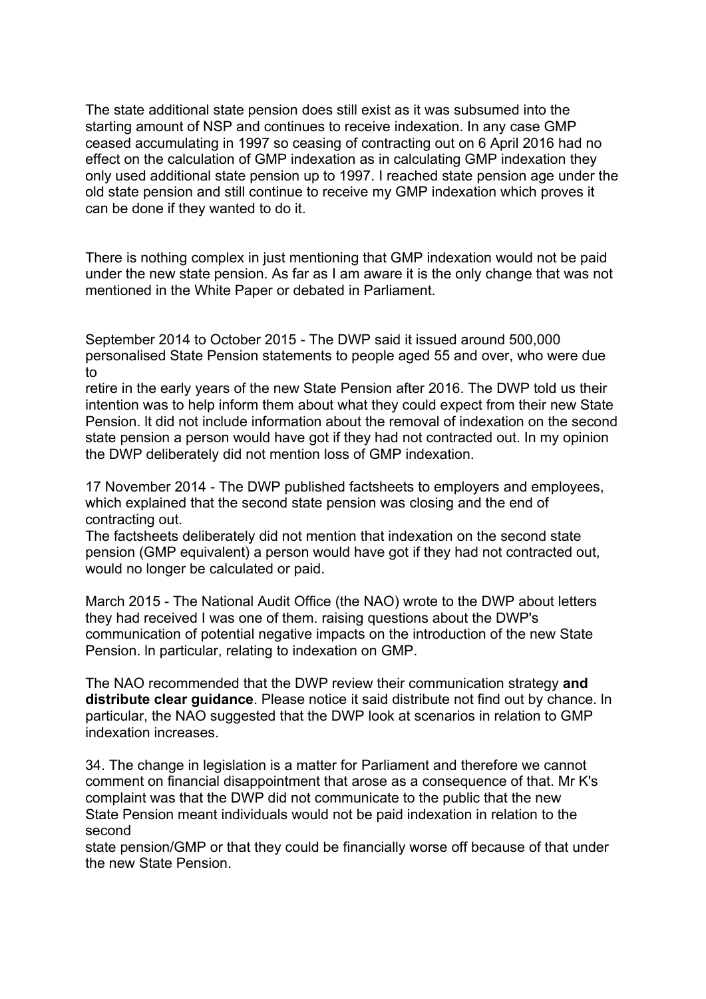The state additional state pension does still exist as it was subsumed into the starting amount of NSP and continues to receive indexation. In any case GMP ceased accumulating in 1997 so ceasing of contracting out on 6 April 2016 had no effect on the calculation of GMP indexation as in calculating GMP indexation they only used additional state pension up to 1997. I reached state pension age under the old state pension and still continue to receive my GMP indexation which proves it can be done if they wanted to do it.

There is nothing complex in just mentioning that GMP indexation would not be paid under the new state pension. As far as I am aware it is the only change that was not mentioned in the White Paper or debated in Parliament.

September 2014 to October 2015 - The DWP said it issued around 500,000 personalised State Pension statements to people aged 55 and over, who were due to

retire in the early years of the new State Pension after 2016. The DWP told us their intention was to help inform them about what they could expect from their new State Pension. lt did not include information about the removal of indexation on the second state pension a person would have got if they had not contracted out. In my opinion the DWP deliberately did not mention loss of GMP indexation.

17 November 2014 - The DWP published factsheets to employers and employees, which explained that the second state pension was closing and the end of contracting out.

The factsheets deliberately did not mention that indexation on the second state pension (GMP equivalent) a person would have got if they had not contracted out, would no longer be calculated or paid.

March 2015 - The National Audit Office (the NAO) wrote to the DWP about letters they had received I was one of them. raising questions about the DWP's communication of potential negative impacts on the introduction of the new State Pension. ln particular, relating to indexation on GMP.

The NAO recommended that the DWP review their communication strategy **and distribute clear guidance**. Please notice it said distribute not find out by chance. ln particular, the NAO suggested that the DWP look at scenarios in relation to GMP indexation increases.

34. The change in legislation is a matter for Parliament and therefore we cannot comment on financial disappointment that arose as a consequence of that. Mr K's complaint was that the DWP did not communicate to the public that the new State Pension meant individuals would not be paid indexation in relation to the second

state pension/GMP or that they could be financially worse off because of that under the new State Pension.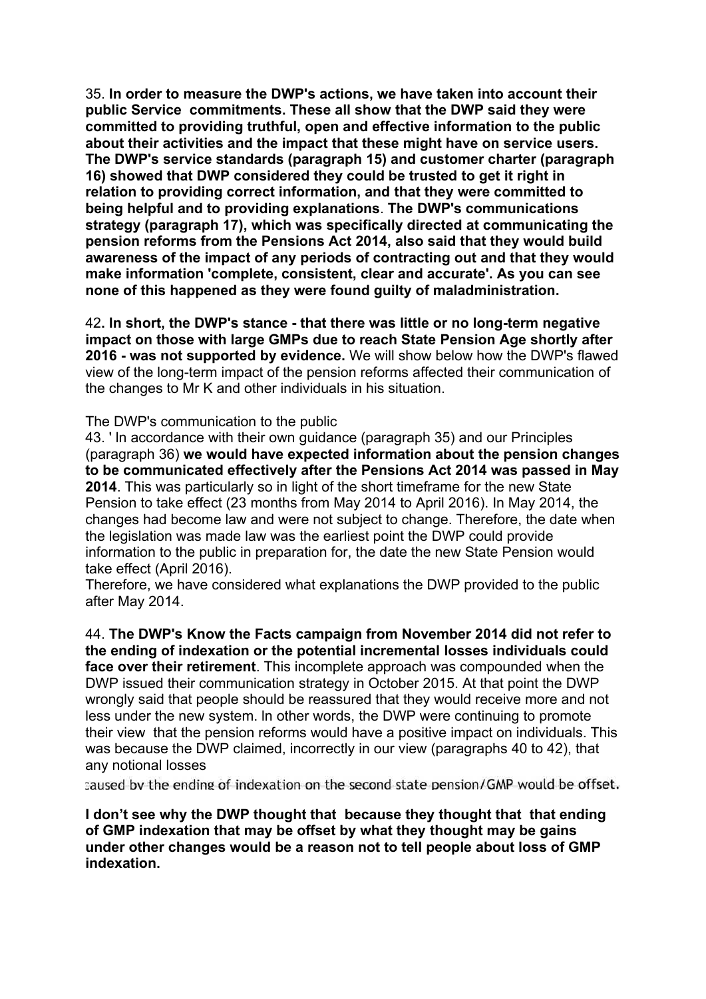35. **In order to measure the DWP's actions, we have taken into account their public Service commitments. These all show that the DWP said they were committed to providing truthful, open and effective information to the public about their activities and the impact that these might have on service users. The DWP's service standards (paragraph 15) and customer charter (paragraph 16) showed that DWP considered they could be trusted to get it right in relation to providing correct information, and that they were committed to being helpful and to providing explanations**. **The DWP's communications strategy (paragraph 17), which was specifically directed at communicating the pension reforms from the Pensions Act 2014, also said that they would build awareness of the impact of any periods of contracting out and that they would make information 'complete, consistent, clear and accurate'. As you can see none of this happened as they were found guilty of maladministration.**

42**. ln short, the DWP's stance - that there was little or no long-term negative impact on those with large GMPs due to reach State Pension Age shortly after 2016 - was not supported by evidence.** We will show below how the DWP's flawed view of the long-term impact of the pension reforms affected their communication of the changes to Mr K and other individuals in his situation.

#### The DWP's communication to the public

43. ' ln accordance with their own guidance (paragraph 35) and our Principles (paragraph 36) **we would have expected information about the pension changes to be communicated effectively after the Pensions Act 2014 was passed in May 2014**. This was particularly so in light of the short timeframe for the new State Pension to take effect (23 months from May 2014 to April 2016). In May 2014, the changes had become law and were not subject to change. Therefore, the date when the legislation was made law was the earliest point the DWP could provide information to the public in preparation for, the date the new State Pension would take effect (April 2016).

Therefore, we have considered what explanations the DWP provided to the public after May 2014.

44. **The DWP's Know the Facts campaign from November 2014 did not refer to the ending of indexation or the potential incremental losses individuals could face over their retirement**. This incomplete approach was compounded when the DWP issued their communication strategy in October 2015. At that point the DWP wrongly said that people should be reassured that they would receive more and not less under the new system. ln other words, the DWP were continuing to promote their view that the pension reforms would have a positive impact on individuals. This was because the DWP claimed, incorrectly in our view (paragraphs 40 to 42), that any notional losses

caused by the ending of indexation on the second state pension/GMP would be offset.

**I don't see why the DWP thought that because they thought that that ending of GMP indexation that may be offset by what they thought may be gains under other changes would be a reason not to tell people about loss of GMP indexation.**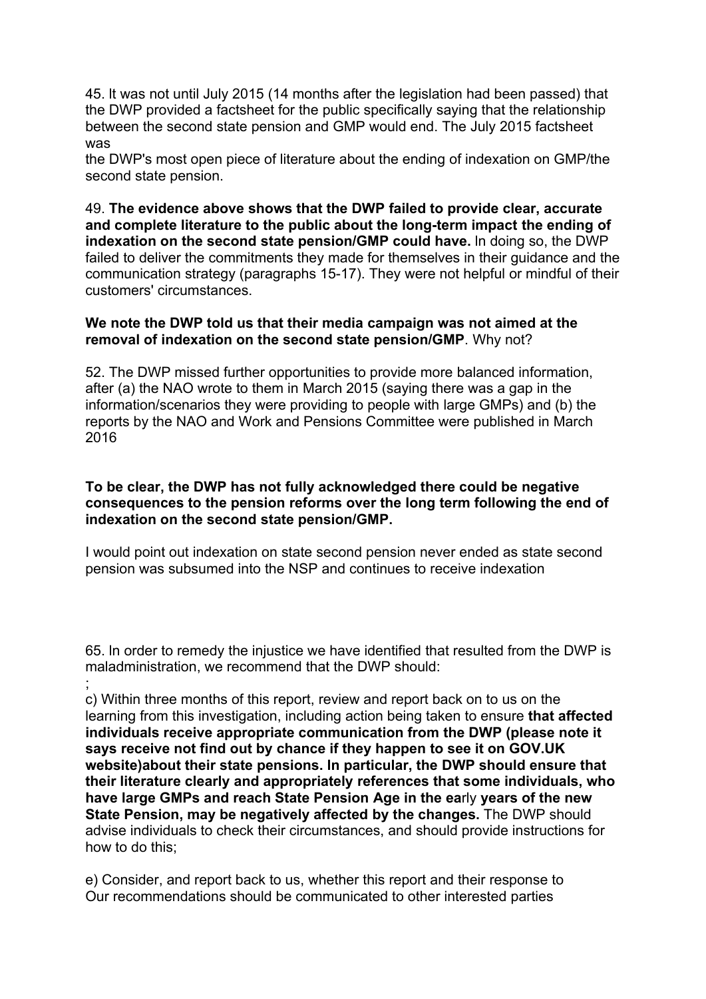45. lt was not until July 2015 (14 months after the legislation had been passed) that the DWP provided a factsheet for the public specifically saying that the relationship between the second state pension and GMP would end. The July 2015 factsheet was

the DWP's most open piece of literature about the ending of indexation on GMP/the second state pension.

49. **The evidence above shows that the DWP failed to provide clear, accurate and complete literature to the public about the long-term impact the ending of indexation on the second state pension/GMP could have.** ln doing so, the DWP failed to deliver the commitments they made for themselves in their guidance and the communication strategy (paragraphs 15-17). They were not helpful or mindful of their customers' circumstances.

### **We note the DWP told us that their media campaign was not aimed at the removal of indexation on the second state pension/GMP**. Why not?

52. The DWP missed further opportunities to provide more balanced information, after (a) the NAO wrote to them in March 2015 (saying there was a gap in the information/scenarios they were providing to people with large GMPs) and (b) the reports by the NAO and Work and Pensions Committee were published in March 2016

## **To be clear, the DWP has not fully acknowledged there could be negative consequences to the pension reforms over the long term following the end of indexation on the second state pension/GMP.**

I would point out indexation on state second pension never ended as state second pension was subsumed into the NSP and continues to receive indexation

65. ln order to remedy the injustice we have identified that resulted from the DWP is maladministration, we recommend that the DWP should: ;

c) Within three months of this report, review and report back on to us on the learning from this investigation, including action being taken to ensure **that affected individuals receive appropriate communication from the DWP (please note it says receive not find out by chance if they happen to see it on GOV.UK website)about their state pensions. ln particular, the DWP should ensure that their literature clearly and appropriately references that some individuals, who have large GMPs and reach State Pension Age in the ea**rly **years of the new State Pension, may be negatively affected by the changes.** The DWP should advise individuals to check their circumstances, and should provide instructions for how to do this;

e) Consider, and report back to us, whether this report and their response to Our recommendations should be communicated to other interested parties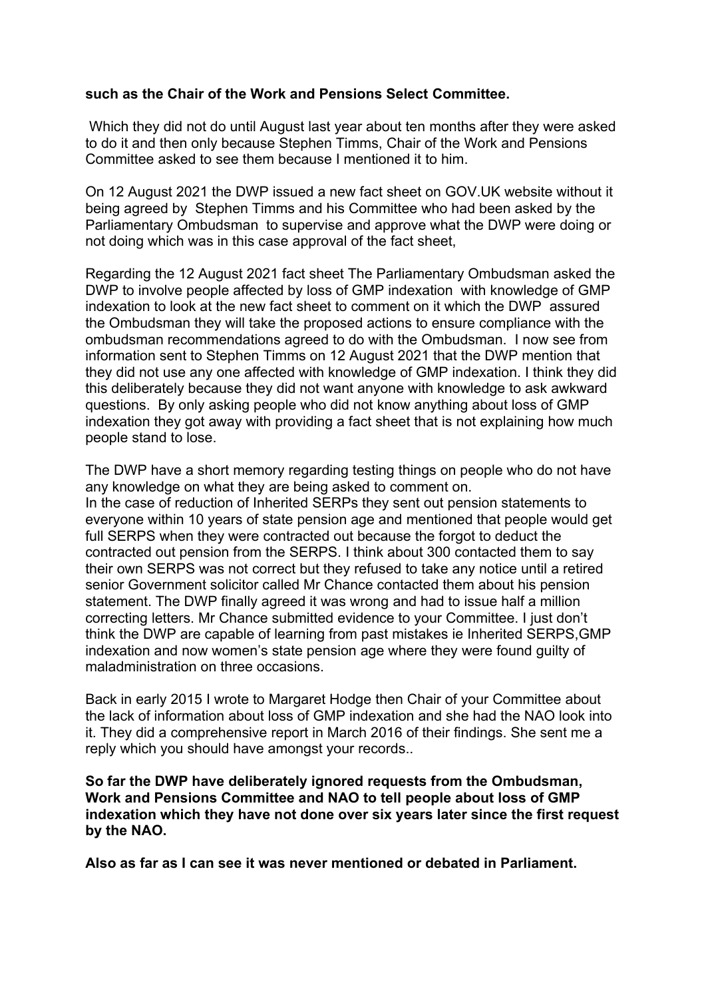## **such as the Chair of the Work and Pensions Select Committee.**

Which they did not do until August last year about ten months after they were asked to do it and then only because Stephen Timms, Chair of the Work and Pensions Committee asked to see them because I mentioned it to him.

On 12 August 2021 the DWP issued a new fact sheet on GOV.UK website without it being agreed by Stephen Timms and his Committee who had been asked by the Parliamentary Ombudsman to supervise and approve what the DWP were doing or not doing which was in this case approval of the fact sheet,

Regarding the 12 August 2021 fact sheet The Parliamentary Ombudsman asked the DWP to involve people affected by loss of GMP indexation with knowledge of GMP indexation to look at the new fact sheet to comment on it which the DWP assured the Ombudsman they will take the proposed actions to ensure compliance with the ombudsman recommendations agreed to do with the Ombudsman. I now see from information sent to Stephen Timms on 12 August 2021 that the DWP mention that they did not use any one affected with knowledge of GMP indexation. I think they did this deliberately because they did not want anyone with knowledge to ask awkward questions. By only asking people who did not know anything about loss of GMP indexation they got away with providing a fact sheet that is not explaining how much people stand to lose.

The DWP have a short memory regarding testing things on people who do not have any knowledge on what they are being asked to comment on.

In the case of reduction of Inherited SERPs they sent out pension statements to everyone within 10 years of state pension age and mentioned that people would get full SERPS when they were contracted out because the forgot to deduct the contracted out pension from the SERPS. I think about 300 contacted them to say their own SERPS was not correct but they refused to take any notice until a retired senior Government solicitor called Mr Chance contacted them about his pension statement. The DWP finally agreed it was wrong and had to issue half a million correcting letters. Mr Chance submitted evidence to your Committee. I just don't think the DWP are capable of learning from past mistakes ie Inherited SERPS,GMP indexation and now women's state pension age where they were found guilty of maladministration on three occasions.

Back in early 2015 I wrote to Margaret Hodge then Chair of your Committee about the lack of information about loss of GMP indexation and she had the NAO look into it. They did a comprehensive report in March 2016 of their findings. She sent me a reply which you should have amongst your records..

**So far the DWP have deliberately ignored requests from the Ombudsman, Work and Pensions Committee and NAO to tell people about loss of GMP indexation which they have not done over six years later since the first request by the NAO.**

**Also as far as I can see it was never mentioned or debated in Parliament.**